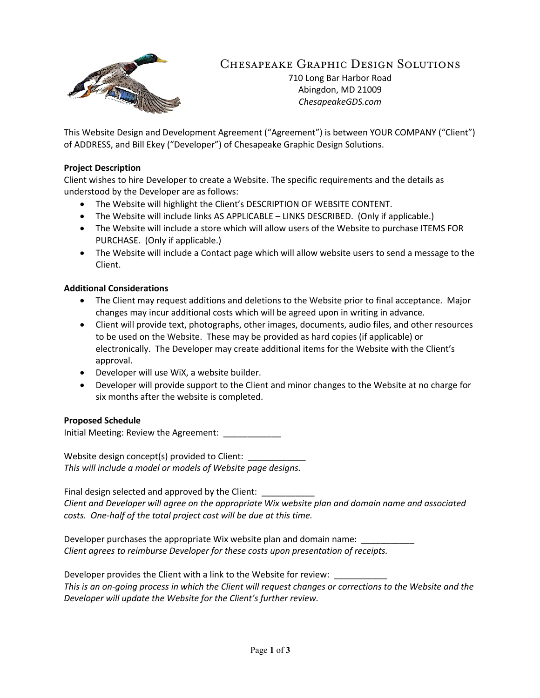

# Chesapeake Graphic Design Solutions

710 Long Bar Harbor Road Abingdon, MD 21009 *ChesapeakeGDS.com*

This Website Design and Development Agreement ("Agreement") is between YOUR COMPANY ("Client") of ADDRESS, and Bill Ekey ("Developer") of Chesapeake Graphic Design Solutions.

### **Project Description**

Client wishes to hire Developer to create a Website. The specific requirements and the details as understood by the Developer are as follows:

- The Website will highlight the Client's DESCRIPTION OF WEBSITE CONTENT.
- The Website will include links AS APPLICABLE LINKS DESCRIBED. (Only if applicable.)
- The Website will include a store which will allow users of the Website to purchase ITEMS FOR PURCHASE. (Only if applicable.)
- The Website will include a Contact page which will allow website users to send a message to the Client.

## **Additional Considerations**

- The Client may request additions and deletions to the Website prior to final acceptance. Major changes may incur additional costs which will be agreed upon in writing in advance.
- Client will provide text, photographs, other images, documents, audio files, and other resources to be used on the Website. These may be provided as hard copies (if applicable) or electronically. The Developer may create additional items for the Website with the Client's approval.
- Developer will use WiX, a website builder.
- Developer will provide support to the Client and minor changes to the Website at no charge for six months after the website is completed.

#### **Proposed Schedule**

Initial Meeting: Review the Agreement: \_\_\_\_\_\_\_\_\_\_\_\_

Website design concept(s) provided to Client: *This will include a model or models of Website page designs.*

Final design selected and approved by the Client: \_ *Client and Developer will agree on the appropriate Wix website plan and domain name and associated costs. One-half of the total project cost will be due at this time.*

Developer purchases the appropriate Wix website plan and domain name: *Client agrees to reimburse Developer for these costs upon presentation of receipts.*

Developer provides the Client with a link to the Website for review: *This is an on-going process in which the Client will request changes or corrections to the Website and the Developer will update the Website for the Client's further review.*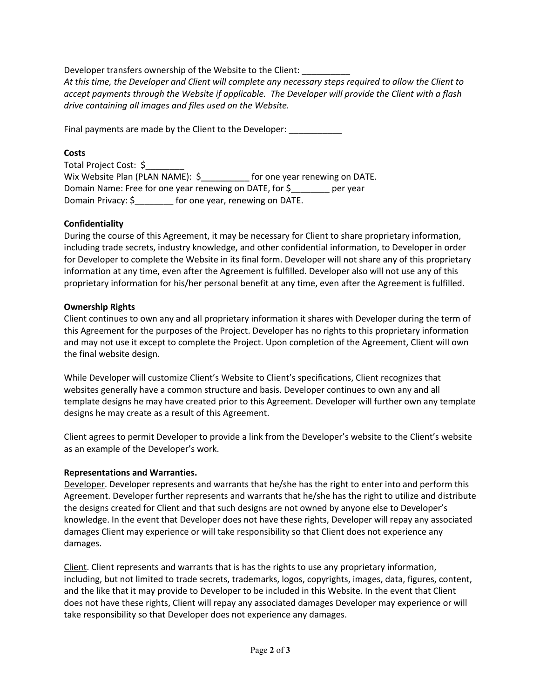Developer transfers ownership of the Website to the Client:

*At this time, the Developer and Client will complete any necessary steps required to allow the Client to accept payments through the Website if applicable. The Developer will provide the Client with a flash drive containing all images and files used on the Website.*

Final payments are made by the Client to the Developer:

# **Costs**

| Total Project Cost: \$                                  |                                 |                                |          |
|---------------------------------------------------------|---------------------------------|--------------------------------|----------|
| Wix Website Plan (PLAN NAME): \$                        |                                 | for one year renewing on DATE. |          |
| Domain Name: Free for one year renewing on DATE, for \$ |                                 |                                | per year |
| Domain Privacy: \$                                      | for one year, renewing on DATE. |                                |          |

# **Confidentiality**

During the course of this Agreement, it may be necessary for Client to share proprietary information, including trade secrets, industry knowledge, and other confidential information, to Developer in order for Developer to complete the Website in its final form. Developer will not share any of this proprietary information at any time, even after the Agreement is fulfilled. Developer also will not use any of this proprietary information for his/her personal benefit at any time, even after the Agreement is fulfilled.

## **Ownership Rights**

Client continues to own any and all proprietary information it shares with Developer during the term of this Agreement for the purposes of the Project. Developer has no rights to this proprietary information and may not use it except to complete the Project. Upon completion of the Agreement, Client will own the final website design.

While Developer will customize Client's Website to Client's specifications, Client recognizes that websites generally have a common structure and basis. Developer continues to own any and all template designs he may have created prior to this Agreement. Developer will further own any template designs he may create as a result of this Agreement.

Client agrees to permit Developer to provide a link from the Developer's website to the Client's website as an example of the Developer's work.

# **Representations and Warranties.**

Developer. Developer represents and warrants that he/she has the right to enter into and perform this Agreement. Developer further represents and warrants that he/she has the right to utilize and distribute the designs created for Client and that such designs are not owned by anyone else to Developer's knowledge. In the event that Developer does not have these rights, Developer will repay any associated damages Client may experience or will take responsibility so that Client does not experience any damages.

Client. Client represents and warrants that is has the rights to use any proprietary information, including, but not limited to trade secrets, trademarks, logos, copyrights, images, data, figures, content, and the like that it may provide to Developer to be included in this Website. In the event that Client does not have these rights, Client will repay any associated damages Developer may experience or will take responsibility so that Developer does not experience any damages.